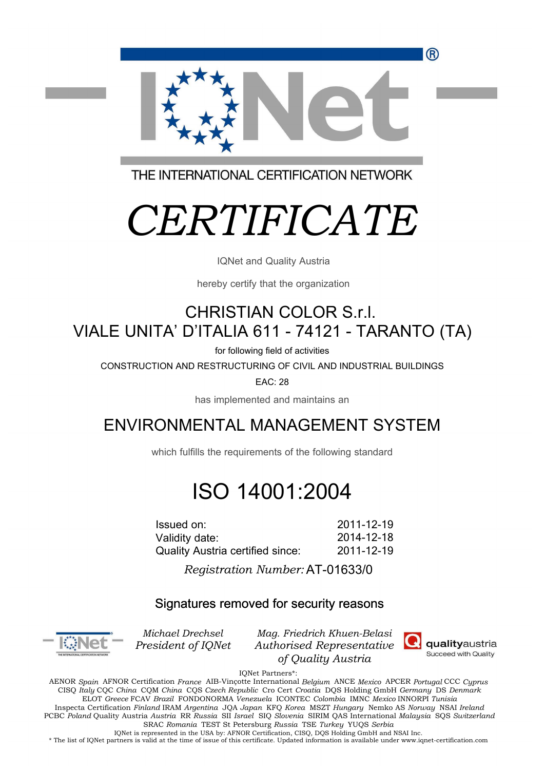R)



THE INTERNATIONAL CERTIFICATION NETWORK

# *CERTIFICATE*

IQNet and Quality Austria

hereby certify that the organization

## CHRISTIAN COLOR S.r.l. VIALE UNITA' D'ITALIA 611 - 74121 - TARANTO (TA)

for following field of activities

CONSTRUCTION AND RESTRUCTURING OF CIVIL AND INDUSTRIAL BUILDINGS

EAC: 28

has implemented and maintains an

### ENVIRONMENTAL MANAGEMENT SYSTEM

which fulfills the requirements of the following standard

## ISO 14001:2004

2011-12-19 2014-12-18 Issued on: Validity date: Quality Austria certified since: 2011-12-19

> l. AT-01633/0 *Registration Number:*

### Signatures removed for security reasons



*Michael Drechsel President of IQNet*

*Mag. Friedrich Khuen-Belasi Authorised Representative of Quality Austria*



IQNet Partners\*:

AENOR *Spain* AFNOR Certification *France* AIB-Vinçotte International *Belgium* ANCE *Mexico* APCER *Portugal* CCC *Cyprus* CISQ *Italy* CQC *China* CQM *China* CQS *Czech Republic* Cro Cert *Croatia* DQS Holding GmbH *Germany* DS *Denmark*  ELOT *Greece* FCAV *Brazil* FONDONORMA *Venezuela* ICONTEC *Colombia* IMNC *Mexico* INNORPI *Tunisia*  Inspecta Certification *Finland* IRAM *Argentina* JQA *Japan* KFQ *Korea* MSZT *Hungary* Nemko AS *Norway* NSAI *Ireland* PCBC *Poland* Quality Austria *Austria* RR *Russia* SII *Israel* SIQ *Slovenia* SIRIM QAS International *Malaysia* SQS *Switzerland*  SRAC *Romania* TEST St Petersburg *Russia* TSE *Turkey* YUQS *Serbia* IQNet is represented in the USA by: AFNOR Certification, CISQ, DQS Holding GmbH and NSAI Inc.

\* The list of IQNet partners is valid at the time of issue of this certificate. Updated information is available under www.iqnet-certification.com